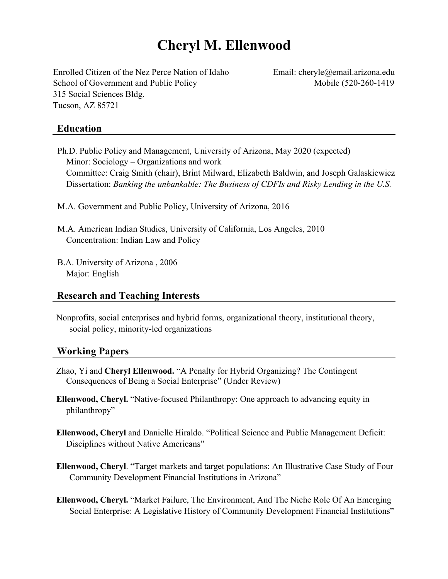# **Cheryl M. Ellenwood**

Enrolled Citizen of the Nez Perce Nation of Idaho Email: cheryle@email.arizona.edu School of Government and Public Policy Mobile (520-260-1419 315 Social Sciences Bldg. Tucson, AZ 85721

# **Education**

- Ph.D. Public Policy and Management, University of Arizona, May 2020 (expected) Minor: Sociology – Organizations and work Committee: Craig Smith (chair), Brint Milward, Elizabeth Baldwin, and Joseph Galaskiewicz Dissertation: *Banking the unbankable: The Business of CDFIs and Risky Lending in the U.S.*
- M.A. Government and Public Policy, University of Arizona, 2016
- M.A. American Indian Studies, University of California, Los Angeles, 2010 Concentration: Indian Law and Policy
- B.A. University of Arizona , 2006 Major: English

### **Research and Teaching Interests**

Nonprofits, social enterprises and hybrid forms, organizational theory, institutional theory, social policy, minority-led organizations

# **Working Papers**

- Zhao, Yi and **Cheryl Ellenwood.** "A Penalty for Hybrid Organizing? The Contingent Consequences of Being a Social Enterprise" (Under Review)
- **Ellenwood, Cheryl.** "Native-focused Philanthropy: One approach to advancing equity in philanthropy"
- **Ellenwood, Cheryl** and Danielle Hiraldo. "Political Science and Public Management Deficit: Disciplines without Native Americans"
- **Ellenwood, Cheryl**. "Target markets and target populations: An Illustrative Case Study of Four Community Development Financial Institutions in Arizona"
- **Ellenwood, Cheryl.** "Market Failure, The Environment, And The Niche Role Of An Emerging Social Enterprise: A Legislative History of Community Development Financial Institutions"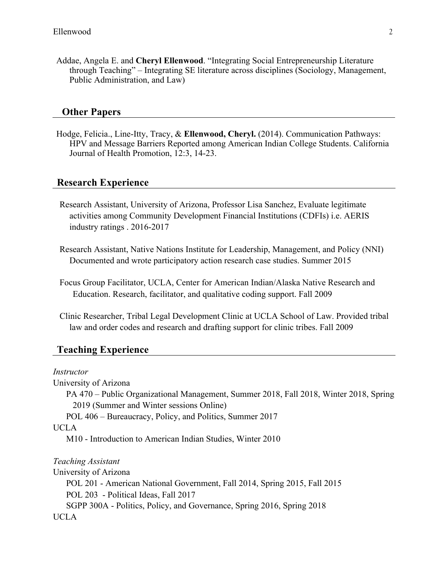Addae, Angela E. and **Cheryl Ellenwood**. "Integrating Social Entrepreneurship Literature through Teaching" – Integrating SE literature across disciplines (Sociology, Management, Public Administration, and Law)

#### **Other Papers**

Hodge, Felicia., Line-Itty, Tracy, & **Ellenwood, Cheryl.** (2014). Communication Pathways: HPV and Message Barriers Reported among American Indian College Students. California Journal of Health Promotion, 12:3, 14-23.

#### **Research Experience**

- Research Assistant, University of Arizona, Professor Lisa Sanchez, Evaluate legitimate activities among Community Development Financial Institutions (CDFIs) i.e. AERIS industry ratings . 2016-2017
- Research Assistant, Native Nations Institute for Leadership, Management, and Policy (NNI) Documented and wrote participatory action research case studies. Summer 2015
- Focus Group Facilitator, UCLA, Center for American Indian/Alaska Native Research and Education. Research, facilitator, and qualitative coding support. Fall 2009
- Clinic Researcher, Tribal Legal Development Clinic at UCLA School of Law. Provided tribal law and order codes and research and drafting support for clinic tribes. Fall 2009

#### **Teaching Experience**

*Instructor* 

# University of Arizona PA 470 – Public Organizational Management, Summer 2018, Fall 2018, Winter 2018, Spring 2019 (Summer and Winter sessions Online) POL 406 – Bureaucracy, Policy, and Politics, Summer 2017 UCLA M10 - Introduction to American Indian Studies, Winter 2010 *Teaching Assistant* University of Arizona POL 201 - American National Government, Fall 2014, Spring 2015, Fall 2015 POL 203 - Political Ideas, Fall 2017 SGPP 300A - Politics, Policy, and Governance, Spring 2016, Spring 2018 UCLA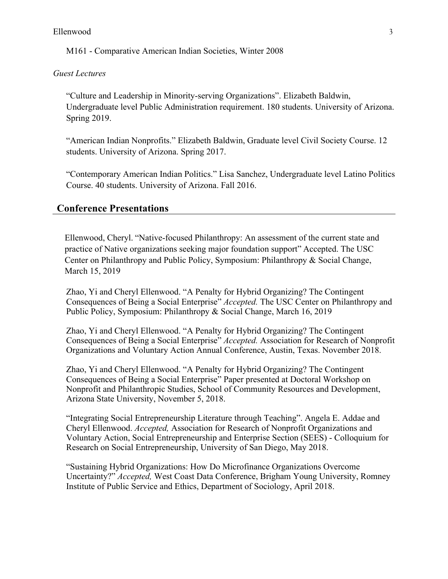M161 - Comparative American Indian Societies, Winter 2008

#### *Guest Lectures*

"Culture and Leadership in Minority-serving Organizations". Elizabeth Baldwin, Undergraduate level Public Administration requirement. 180 students. University of Arizona. Spring 2019.

"American Indian Nonprofits." Elizabeth Baldwin, Graduate level Civil Society Course. 12 students. University of Arizona. Spring 2017.

"Contemporary American Indian Politics." Lisa Sanchez, Undergraduate level Latino Politics Course. 40 students. University of Arizona. Fall 2016.

#### **Conference Presentations**

Ellenwood, Cheryl. "Native-focused Philanthropy: An assessment of the current state and practice of Native organizations seeking major foundation support" Accepted. The USC Center on Philanthropy and Public Policy, Symposium: Philanthropy & Social Change, March 15, 2019

Zhao, Yi and Cheryl Ellenwood. "A Penalty for Hybrid Organizing? The Contingent Consequences of Being a Social Enterprise" *Accepted.* The USC Center on Philanthropy and Public Policy, Symposium: Philanthropy & Social Change, March 16, 2019

Zhao, Yi and Cheryl Ellenwood. "A Penalty for Hybrid Organizing? The Contingent Consequences of Being a Social Enterprise" *Accepted.* Association for Research of Nonprofit Organizations and Voluntary Action Annual Conference, Austin, Texas. November 2018.

Zhao, Yi and Cheryl Ellenwood. "A Penalty for Hybrid Organizing? The Contingent Consequences of Being a Social Enterprise" Paper presented at Doctoral Workshop on Nonprofit and Philanthropic Studies, School of Community Resources and Development, Arizona State University, November 5, 2018.

"Integrating Social Entrepreneurship Literature through Teaching". Angela E. Addae and Cheryl Ellenwood. *Accepted,* Association for Research of Nonprofit Organizations and Voluntary Action, Social Entrepreneurship and Enterprise Section (SEES) - Colloquium for Research on Social Entrepreneurship, University of San Diego, May 2018.

"Sustaining Hybrid Organizations: How Do Microfinance Organizations Overcome Uncertainty?" *Accepted,* West Coast Data Conference, Brigham Young University, Romney Institute of Public Service and Ethics, Department of Sociology, April 2018.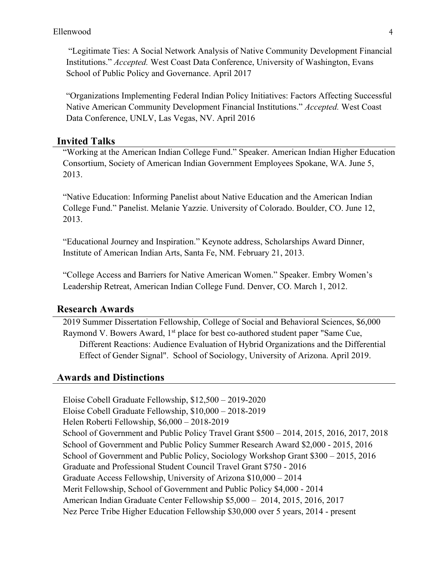"Legitimate Ties: A Social Network Analysis of Native Community Development Financial Institutions." *Accepted.* West Coast Data Conference, University of Washington, Evans School of Public Policy and Governance. April 2017

"Organizations Implementing Federal Indian Policy Initiatives: Factors Affecting Successful Native American Community Development Financial Institutions." *Accepted.* West Coast Data Conference, UNLV, Las Vegas, NV. April 2016

#### **Invited Talks**

"Working at the American Indian College Fund." Speaker. American Indian Higher Education Consortium, Society of American Indian Government Employees Spokane, WA. June 5, 2013.

"Native Education: Informing Panelist about Native Education and the American Indian College Fund." Panelist. Melanie Yazzie. University of Colorado. Boulder, CO. June 12, 2013.

"Educational Journey and Inspiration." Keynote address, Scholarships Award Dinner, Institute of American Indian Arts, Santa Fe, NM. February 21, 2013.

"College Access and Barriers for Native American Women." Speaker. Embry Women's Leadership Retreat, American Indian College Fund. Denver, CO. March 1, 2012.

#### **Research Awards**

2019 Summer Dissertation Fellowship, College of Social and Behavioral Sciences, \$6,000 Raymond V. Bowers Award,  $1<sup>st</sup>$  place for best co-authored student paper "Same Cue, Different Reactions: Audience Evaluation of Hybrid Organizations and the Differential Effect of Gender Signal". School of Sociology, University of Arizona. April 2019.

#### **Awards and Distinctions**

Eloise Cobell Graduate Fellowship, \$12,500 – 2019-2020 Eloise Cobell Graduate Fellowship, \$10,000 – 2018-2019 Helen Roberti Fellowship, \$6,000 – 2018-2019 School of Government and Public Policy Travel Grant \$500 – 2014, 2015, 2016, 2017, 2018 School of Government and Public Policy Summer Research Award \$2,000 - 2015, 2016 School of Government and Public Policy, Sociology Workshop Grant \$300 – 2015, 2016 Graduate and Professional Student Council Travel Grant \$750 - 2016 Graduate Access Fellowship, University of Arizona \$10,000 – 2014 Merit Fellowship, School of Government and Public Policy \$4,000 - 2014 American Indian Graduate Center Fellowship \$5,000 – 2014, 2015, 2016, 2017 Nez Perce Tribe Higher Education Fellowship \$30,000 over 5 years, 2014 - present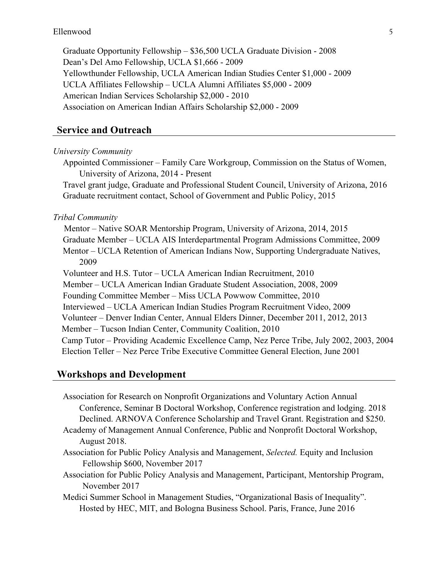Graduate Opportunity Fellowship – \$36,500 UCLA Graduate Division - 2008 Dean's Del Amo Fellowship, UCLA \$1,666 - 2009 Yellowthunder Fellowship, UCLA American Indian Studies Center \$1,000 - 2009 UCLA Affiliates Fellowship – UCLA Alumni Affiliates \$5,000 - 2009 American Indian Services Scholarship \$2,000 - 2010 Association on American Indian Affairs Scholarship \$2,000 - 2009

#### **Service and Outreach**

#### *University Community*

Appointed Commissioner – Family Care Workgroup, Commission on the Status of Women, University of Arizona, 2014 - Present

Travel grant judge, Graduate and Professional Student Council, University of Arizona, 2016 Graduate recruitment contact, School of Government and Public Policy, 2015

#### *Tribal Community*

 Mentor – Native SOAR Mentorship Program, University of Arizona, 2014, 2015 Graduate Member – UCLA AIS Interdepartmental Program Admissions Committee, 2009 Mentor – UCLA Retention of American Indians Now, Supporting Undergraduate Natives, 2009 Volunteer and H.S. Tutor – UCLA American Indian Recruitment, 2010 Member – UCLA American Indian Graduate Student Association, 2008, 2009 Founding Committee Member – Miss UCLA Powwow Committee, 2010 Interviewed – UCLA American Indian Studies Program Recruitment Video, 2009 Volunteer – Denver Indian Center, Annual Elders Dinner, December 2011, 2012, 2013 Member – Tucson Indian Center, Community Coalition, 2010 Camp Tutor – Providing Academic Excellence Camp, Nez Perce Tribe, July 2002, 2003, 2004 Election Teller – Nez Perce Tribe Executive Committee General Election, June 2001

#### **Workshops and Development**

Association for Research on Nonprofit Organizations and Voluntary Action Annual Conference, Seminar B Doctoral Workshop, Conference registration and lodging. 2018 Declined. ARNOVA Conference Scholarship and Travel Grant. Registration and \$250.

- Academy of Management Annual Conference, Public and Nonprofit Doctoral Workshop, August 2018.
- Association for Public Policy Analysis and Management, *Selected.* Equity and Inclusion Fellowship \$600, November 2017
- Association for Public Policy Analysis and Management, Participant, Mentorship Program, November 2017
- Medici Summer School in Management Studies, "Organizational Basis of Inequality". Hosted by HEC, MIT, and Bologna Business School. Paris, France, June 2016